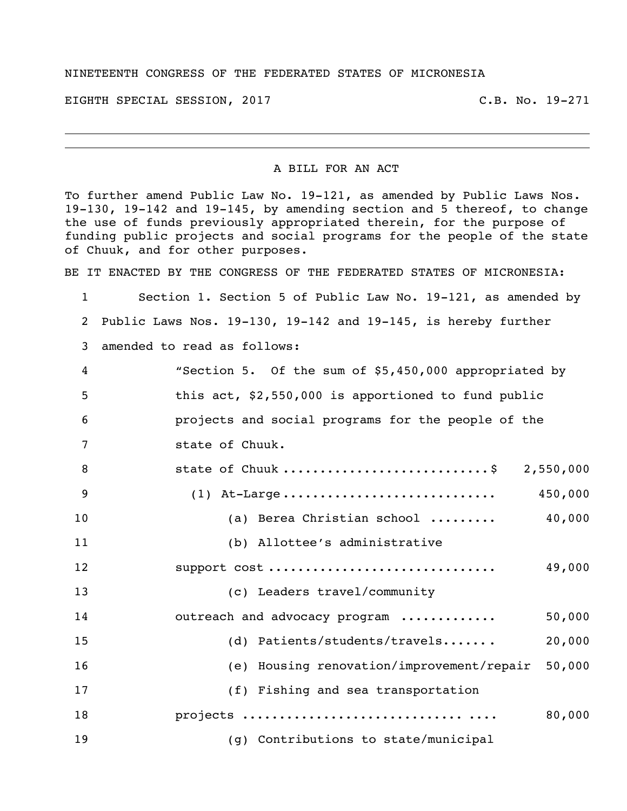## NINETEENTH CONGRESS OF THE FEDERATED STATES OF MICRONESIA

EIGHTH SPECIAL SESSION, 2017 C.B. No. 19-271

## A BILL FOR AN ACT

To further amend Public Law No. 19-121, as amended by Public Laws Nos. 19-130, 19-142 and 19-145, by amending section and 5 thereof, to change the use of funds previously appropriated therein, for the purpose of funding public projects and social programs for the people of the state of Chuuk, and for other purposes.

BE IT ENACTED BY THE CONGRESS OF THE FEDERATED STATES OF MICRONESIA:

 Section 1. Section 5 of Public Law No. 19-121, as amended by Public Laws Nos. 19-130, 19-142 and 19-145, is hereby further

amended to read as follows:

| 4              | "Section 5. Of the sum of \$5,450,000 appropriated by |
|----------------|-------------------------------------------------------|
| 5              | this act, \$2,550,000 is apportioned to fund public   |
| 6              | projects and social programs for the people of the    |
| 7              | state of Chuuk.                                       |
| 8              | state of Chuuk \$<br>2,550,000                        |
| $\overline{9}$ | 450,000                                               |
| 10             | 40,000<br>(a) Berea Christian school                  |
| 11             | (b) Allottee's administrative                         |
| 12             | support cost<br>49,000                                |
| 13             | (c) Leaders travel/community                          |
| 14             | outreach and advocacy program<br>50,000               |
| 15             | (d) Patients/students/travels<br>20,000               |
| 16             | (e) Housing renovation/improvement/repair<br>50,000   |
| 17             | (f) Fishing and sea transportation                    |
| 18             | 80,000                                                |
| 19             | (g) Contributions to state/municipal                  |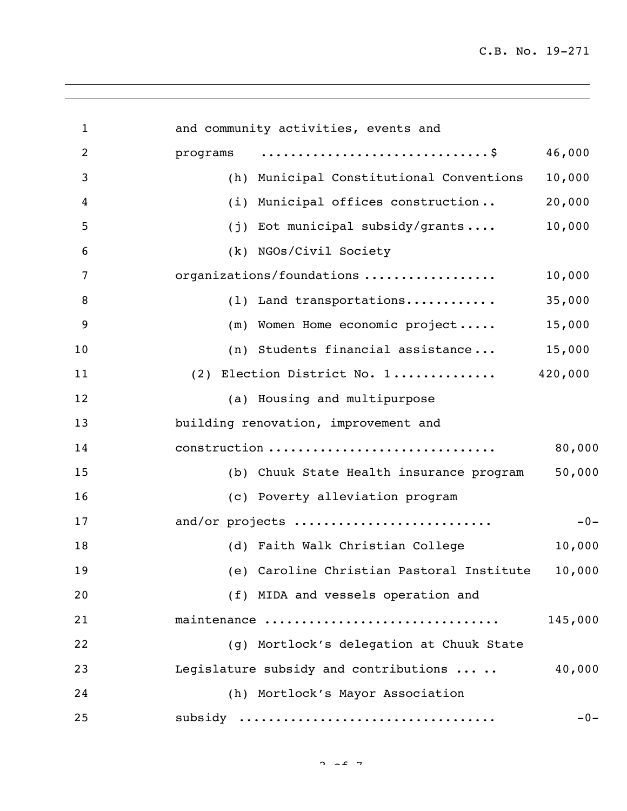| $\mathbf{1}$   | and community activities, events and      |         |
|----------------|-------------------------------------------|---------|
| $\overline{c}$ | programs                                  | 46,000  |
| 3              | (h) Municipal Constitutional Conventions  | 10,000  |
| $\overline{4}$ | (i) Municipal offices construction        | 20,000  |
| 5              | (j) Eot municipal subsidy/grants          | 10,000  |
| 6              | (k) NGOs/Civil Society                    |         |
| 7              | organizations/foundations                 | 10,000  |
| 8              | (1) Land transportations                  | 35,000  |
| 9              | (m) Women Home economic project           | 15,000  |
| 10             | (n) Students financial assistance         | 15,000  |
| 11             | (2) Election District No. 1               | 420,000 |
| 12             | (a) Housing and multipurpose              |         |
| 13             | building renovation, improvement and      |         |
| 14             | construction                              | 80,000  |
| 15             | (b) Chuuk State Health insurance program  | 50,000  |
| 16             | (c) Poverty alleviation program           |         |
| 17             | and/or projects                           | $-0-$   |
| 18             | (d) Faith Walk Christian College          | 10,000  |
| 19             | (e) Caroline Christian Pastoral Institute | 10,000  |
| 20             | (f) MIDA and vessels operation and        |         |
| 21             | maintenance                               | 145,000 |
| 22             | (g) Mortlock's delegation at Chuuk State  |         |
| 23             | Legislature subsidy and contributions     | 40,000  |
| 24             | (h) Mortlock's Mayor Association          |         |
| 25             | subsidy                                   | $-0-$   |

 $2 \times 2 \times 7$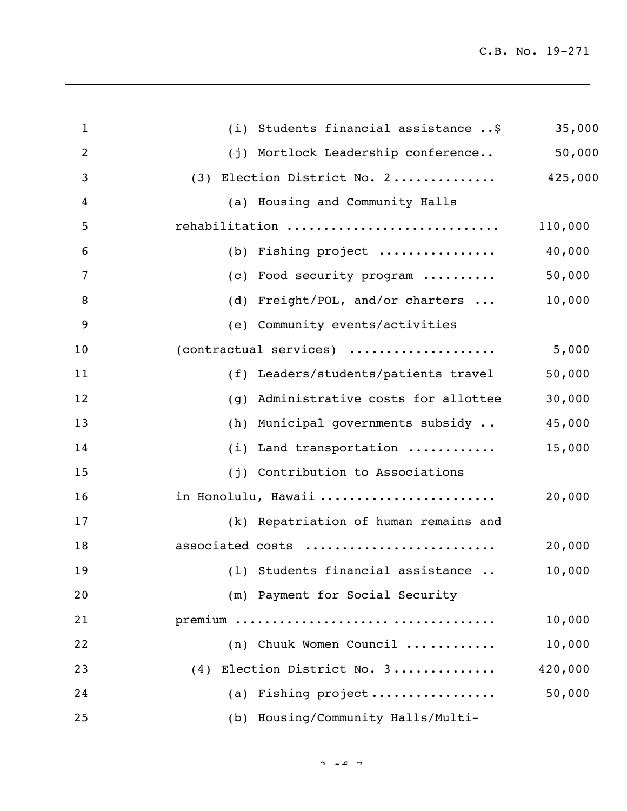| $\mathbf{1}$   | (i) Students financial assistance \$     | 35,000  |
|----------------|------------------------------------------|---------|
| 2              | (j) Mortlock Leadership conference       | 50,000  |
| 3              | (3) Election District No. 2              | 425,000 |
| $\overline{4}$ | (a) Housing and Community Halls          |         |
| 5              | rehabilitation                           | 110,000 |
| 6              | (b) Fishing project                      | 40,000  |
| 7              | (c) Food security program                | 50,000  |
| 8              | (d) Freight/POL, and/or charters         | 10,000  |
| 9              | (e) Community events/activities          |         |
| 10             | (contractual services)                   | 5,000   |
| 11             | (f) Leaders/students/patients travel     | 50,000  |
| 12             | Administrative costs for allottee<br>(q) | 30,000  |
| 13             | (h) Municipal governments subsidy        | 45,000  |
| 14             | (i) Land transportation                  | 15,000  |
| 15             | (j) Contribution to Associations         |         |
| 16             | in Honolulu, Hawaii                      | 20,000  |
| 17             | (k) Repatriation of human remains and    |         |
| 18             | associated costs                         | 20,000  |
| 19             | (1) Students financial assistance        | 10,000  |
| 20             | (m) Payment for Social Security          |         |
| 21             |                                          | 10,000  |
| 22             | (n) Chuuk Women Council                  | 10,000  |
| 23             | (4) Election District No. 3              | 420,000 |
| 24             | (a) Fishing project                      | 50,000  |
| 25             | (b) Housing/Community Halls/Multi-       |         |
|                |                                          |         |

 $2 \times 27$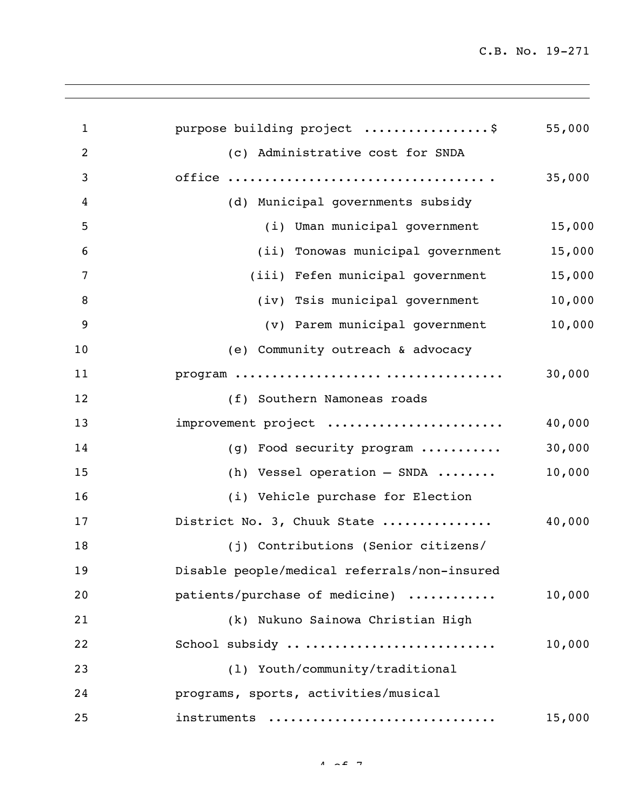| $\mathbf{1}$   | purpose building project \$                  | 55,000 |
|----------------|----------------------------------------------|--------|
| $\overline{2}$ | (c) Administrative cost for SNDA             |        |
| 3              |                                              | 35,000 |
| 4              | (d) Municipal governments subsidy            |        |
| 5              | (i) Uman municipal government                | 15,000 |
| 6              | (ii) Tonowas municipal government            | 15,000 |
| 7              | (iii) Fefen municipal government             | 15,000 |
| 8              | (iv) Tsis municipal government               | 10,000 |
| 9              | (v) Parem municipal government               | 10,000 |
| 10             | (e) Community outreach & advocacy            |        |
| 11             |                                              | 30,000 |
| 12             | (f) Southern Namoneas roads                  |        |
| 13             | improvement project                          | 40,000 |
| 14             | (g) Food security program                    | 30,000 |
| 15             | (h) Vessel operation $-$ SNDA                | 10,000 |
| 16             | (i) Vehicle purchase for Election            |        |
| 17             | District No. 3, Chuuk State                  | 40,000 |
| 18             | (j) Contributions (Senior citizens/          |        |
| 19             | Disable people/medical referrals/non-insured |        |
| 20             | patients/purchase of medicine)               | 10,000 |
| 21             | (k) Nukuno Sainowa Christian High            |        |
| 22             | School subsidy                               | 10,000 |
| 23             | (1) Youth/community/traditional              |        |
| 24             | programs, sports, activities/musical         |        |
| 25             | instruments                                  | 15,000 |
|                |                                              |        |

 $4 \times 2 \times 7$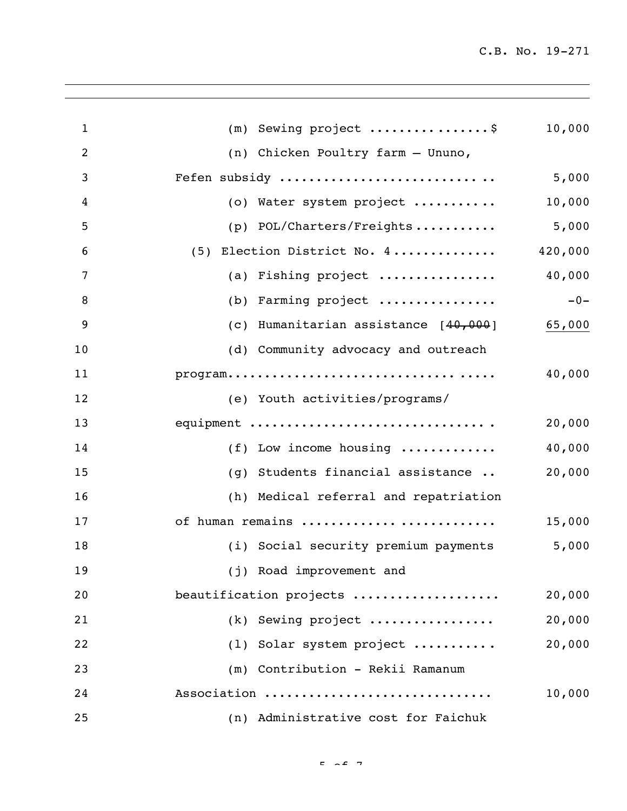| $\mathbf{1}$   | $(m)$ Sewing project \$                                                                    | 10,000  |
|----------------|--------------------------------------------------------------------------------------------|---------|
| $\overline{2}$ | (n) Chicken Poultry farm - Ununo,                                                          |         |
| 3              | Fefen subsidy                                                                              | 5,000   |
| 4              | (o) Water system project                                                                   | 10,000  |
| 5              | (p) POL/Charters/Freights                                                                  | 5,000   |
| 6              | (5) Election District No. 4                                                                | 420,000 |
| 7              | (a) Fishing project                                                                        | 40,000  |
| 8              | (b) Farming project                                                                        | $-0-$   |
| 9              | (c) Humanitarian assistance [40,000]                                                       | 65,000  |
| 10             | (d) Community advocacy and outreach                                                        |         |
| 11             | $\texttt{program} \dots \dots \dots \dots \dots \dots \dots \dots \dots \dots \dots \dots$ | 40,000  |
| 12             | (e) Youth activities/programs/                                                             |         |
| 13             | equipment                                                                                  | 20,000  |
| 14             | (f) Low income housing                                                                     | 40,000  |
| 15             | (g) Students financial assistance                                                          | 20,000  |
| 16             | (h) Medical referral and repatriation                                                      |         |
| 17             | of human remains                                                                           | 15,000  |
| 18             | (i) Social security premium payments                                                       | 5,000   |
| 19             | (j) Road improvement and                                                                   |         |
| 20             | beautification projects                                                                    | 20,000  |
| 21             | (k) Sewing project                                                                         | 20,000  |
| 22             | (1) Solar system project                                                                   | 20,000  |
| 23             | (m) Contribution - Rekii Ramanum                                                           |         |
| 24             | Association                                                                                | 10,000  |
| 25             | (n) Administrative cost for Faichuk                                                        |         |

 $F = \sqrt{2}$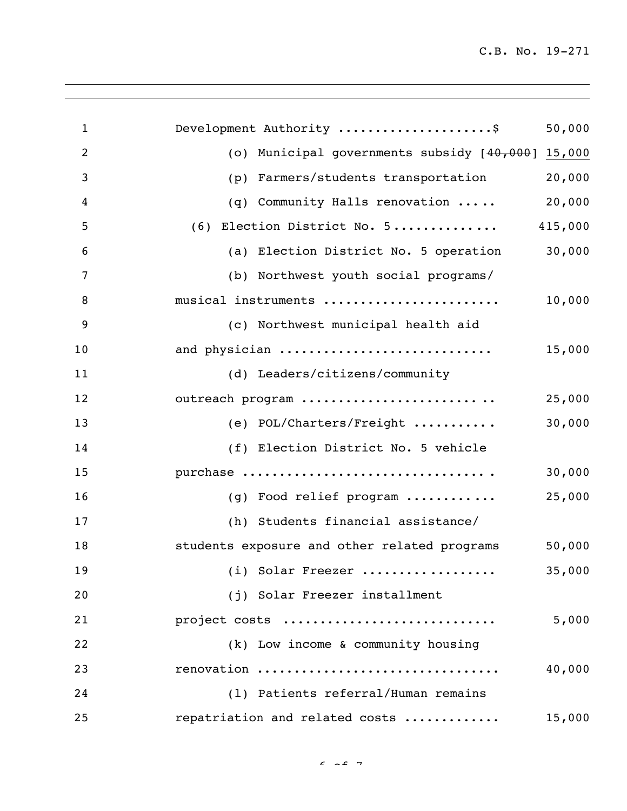| $\mathbf{1}$   | Development Authority \$<br>50,000                     |
|----------------|--------------------------------------------------------|
| $\overline{2}$ | (o) Municipal governments subsidy [40,000] 15,000      |
| 3              | 20,000<br>Farmers/students transportation<br>(p)       |
| 4              | 20,000<br>(q) Community Halls renovation               |
| 5              | (6) Election District No. 5<br>415,000                 |
| 6              | 30,000<br>(a) Election District No. 5 operation        |
| $\overline{7}$ | (b) Northwest youth social programs/                   |
| 8              | 10,000<br>musical instruments                          |
| 9              | (c) Northwest municipal health aid                     |
| 10             | and physician<br>15,000                                |
| 11             | (d) Leaders/citizens/community                         |
| 12             | outreach program<br>25,000                             |
| 13             | 30,000<br>(e) POL/Charters/Freight                     |
| 14             | (f) Election District No. 5 vehicle                    |
| 15             | 30,000<br>purchase                                     |
| 16             | 25,000<br>(g) Food relief program                      |
| 17             | (h) Students financial assistance/                     |
| 18             | 50,000<br>students exposure and other related programs |
| 19             | 35,000<br>(i) Solar Freezer                            |
| 20             | (j) Solar Freezer installment                          |
| 21             | project costs<br>5,000                                 |
| 22             | (k) Low income & community housing                     |
| 23             | renovation<br>40,000                                   |
| 24             | (1) Patients referral/Human remains                    |
| 25             | repatriation and related costs<br>15,000               |

 $6.207$